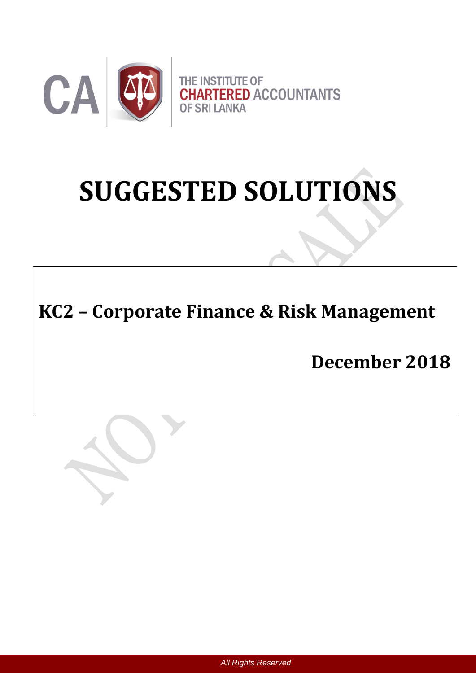

# **SUGGESTED SOLUTIONS**

# **KC2 – Corporate Finance & Risk Management**

**December 2018**



*All Rights Reserved*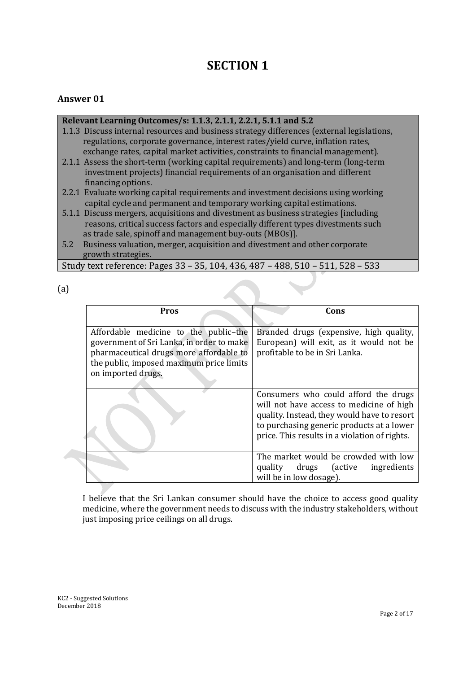# **SECTION 1**

# **Answer 01**

# **Relevant Learning Outcomes/s: 1.1.3, 2.1.1, 2.2.1, 5.1.1 and 5.2**

- 1.1.3 Discuss internal resources and business strategy differences (external legislations, regulations, corporate governance, interest rates/yield curve, inflation rates, exchange rates, capital market activities, constraints to financial management).
- 2.1.1 Assess the short-term (working capital requirements) and long-term (long-term investment projects) financial requirements of an organisation and different financing options.
- 2.2.1 Evaluate working capital requirements and investment decisions using working capital cycle and permanent and temporary working capital estimations.
- 5.1.1 Discuss mergers, acquisitions and divestment as business strategies [including reasons, critical success factors and especially different types divestments such as trade sale, spinoff and management buy-outs (MBOs)].
- 5.2 Business valuation, merger, acquisition and divestment and other corporate growth strategies.

Study text reference: Pages 33 – 35, 104, 436, 487 – 488, 510 – 511, 528 – 533

(a)

| <b>Pros</b>                                                                                                                                                                                     | Cons                                                                                                                                                                                                                          |
|-------------------------------------------------------------------------------------------------------------------------------------------------------------------------------------------------|-------------------------------------------------------------------------------------------------------------------------------------------------------------------------------------------------------------------------------|
| Affordable medicine to the public-the<br>government of Sri Lanka, in order to make<br>pharmaceutical drugs more affordable to<br>the public, imposed maximum price limits<br>on imported drugs. | Branded drugs (expensive, high quality,<br>European) will exit, as it would not be<br>profitable to be in Sri Lanka.                                                                                                          |
|                                                                                                                                                                                                 | Consumers who could afford the drugs<br>will not have access to medicine of high<br>quality. Instead, they would have to resort<br>to purchasing generic products at a lower<br>price. This results in a violation of rights. |
|                                                                                                                                                                                                 | The market would be crowded with low<br>drugs (active<br>quality<br>ingredients<br>will be in low dosage).                                                                                                                    |

I believe that the Sri Lankan consumer should have the choice to access good quality medicine, where the government needs to discuss with the industry stakeholders, without just imposing price ceilings on all drugs.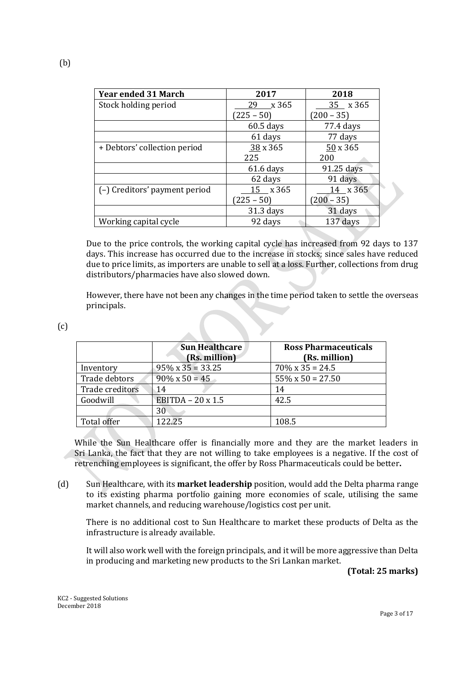| <b>Year ended 31 March</b>    | 2017         | 2018         |
|-------------------------------|--------------|--------------|
| Stock holding period          | x 365<br>29  | 35 x 365     |
|                               | $(225 - 50)$ | $(200 - 35)$ |
|                               | $60.5$ days  | 77.4 days    |
|                               | 61 days      | 77 days      |
| + Debtors' collection period  | 38x365       | 50 x 365     |
|                               | 225          | 200          |
|                               | $61.6$ days  | 91.25 days   |
|                               | 62 days      | 91 days      |
| (-) Creditors' payment period | 15 x 365     | $14$ x 365   |
|                               | $(225 - 50)$ | $(200 - 35)$ |
|                               | $31.3$ days  | 31 days      |
| Working capital cycle         | 92 days      | 137 days     |

Due to the price controls, the working capital cycle has increased from 92 days to 137 days. This increase has occurred due to the increase in stocks; since sales have reduced due to price limits, as importers are unable to sell at a loss. Further, collections from drug distributors/pharmacies have also slowed down.

However, there have not been any changes in the time period taken to settle the overseas principals.

| ۰.<br>× |
|---------|
| ۰.      |

|                 | <b>Sun Healthcare</b><br>(Rs. million) | <b>Ross Pharmaceuticals</b><br>(Rs. million) |
|-----------------|----------------------------------------|----------------------------------------------|
| Inventory       | $95\% \times 35 = 33.25$               | $70\% \times 35 = 24.5$                      |
| Trade debtors   | $90\% \times 50 = 45$                  | $55\% \times 50 = 27.50$                     |
| Trade creditors | 14                                     | 14                                           |
| Goodwill        | EBITDA $-20 \times 1.5$                | 42.5                                         |
|                 | 30                                     |                                              |
| Total offer     | 122.25                                 | 108.5                                        |

While the Sun Healthcare offer is financially more and they are the market leaders in Sri Lanka, the fact that they are not willing to take employees is a negative. If the cost of retrenching employees is significant, the offer by Ross Pharmaceuticals could be better**.**

(d) Sun Healthcare, with its **market leadership** position, would add the Delta pharma range to its existing pharma portfolio gaining more economies of scale, utilising the same market channels, and reducing warehouse/logistics cost per unit.

There is no additional cost to Sun Healthcare to market these products of Delta as the infrastructure is already available.

It will also work well with the foreign principals, and it will be more aggressive than Delta in producing and marketing new products to the Sri Lankan market.

**(Total: 25 marks)**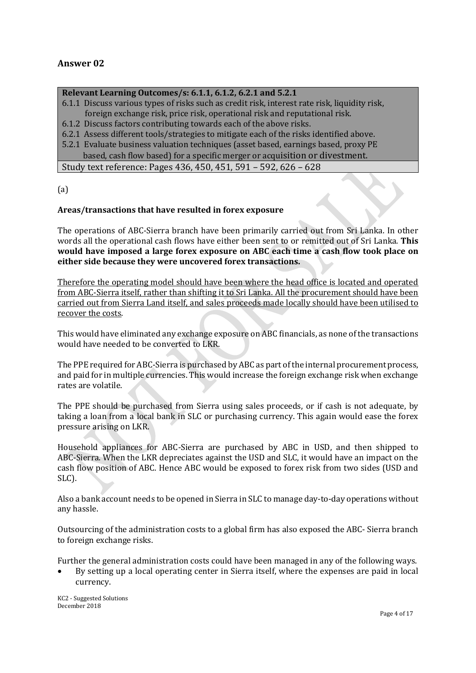# **Answer 02**

#### **Relevant Learning Outcomes/s: 6.1.1, 6.1.2, 6.2.1 and 5.2.1**

- 6.1.1 Discuss various types of risks such as credit risk, interest rate risk, liquidity risk, foreign exchange risk, price risk, operational risk and reputational risk.
- 6.1.2 Discuss factors contributing towards each of the above risks.
- 6.2.1 Assess different tools/strategies to mitigate each of the risks identified above.
- 5.2.1 Evaluate business valuation techniques (asset based, earnings based, proxy PE based, cash flow based) for a specific merger or acquisition or divestment.

Study text reference: Pages 436, 450, 451, 591 – 592, 626 – 628

 $(a)$ 

#### **Areas/transactions that have resulted in forex exposure**

The operations of ABC-Sierra branch have been primarily carried out from Sri Lanka. In other words all the operational cash flows have either been sent to or remitted out of Sri Lanka. **This would have imposed a large forex exposure on ABC each time a cash flow took place on either side because they were uncovered forex transactions.**

Therefore the operating model should have been where the head office is located and operated from ABC-Sierra itself, rather than shifting it to Sri Lanka. All the procurement should have been carried out from Sierra Land itself, and sales proceeds made locally should have been utilised to recover the costs.

This would have eliminated any exchange exposure on ABC financials, as none of the transactions would have needed to be converted to LKR.

The PPE required for ABC-Sierra is purchased by ABC as part of the internal procurement process, and paid for in multiple currencies. This would increase the foreign exchange risk when exchange rates are volatile.

The PPE should be purchased from Sierra using sales proceeds, or if cash is not adequate, by taking a loan from a local bank in SLC or purchasing currency. This again would ease the forex pressure arising on LKR.

Household appliances for ABC-Sierra are purchased by ABC in USD, and then shipped to ABC-Sierra. When the LKR depreciates against the USD and SLC, it would have an impact on the cash flow position of ABC. Hence ABC would be exposed to forex risk from two sides (USD and SLC).

Also a bank account needs to be opened in Sierra in SLC to manage day-to-day operations without any hassle.

Outsourcing of the administration costs to a global firm has also exposed the ABC- Sierra branch to foreign exchange risks.

Further the general administration costs could have been managed in any of the following ways.

 By setting up a local operating center in Sierra itself, where the expenses are paid in local currency.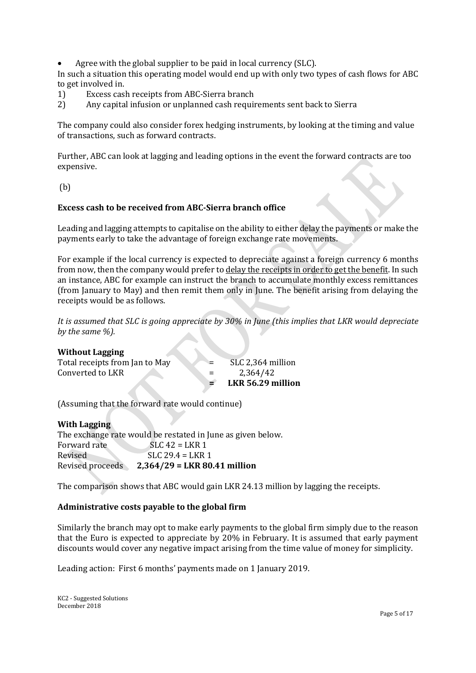Agree with the global supplier to be paid in local currency (SLC).

In such a situation this operating model would end up with only two types of cash flows for ABC to get involved in.

- 1) Excess cash receipts from ABC-Sierra branch
- 2) Any capital infusion or unplanned cash requirements sent back to Sierra

The company could also consider forex hedging instruments, by looking at the timing and value of transactions, such as forward contracts.

Further, ABC can look at lagging and leading options in the event the forward contracts are too expensive.

(b)

#### **Excess cash to be received from ABC-Sierra branch office**

Leading and lagging attempts to capitalise on the ability to either delay the payments or make the payments early to take the advantage of foreign exchange rate movements.

For example if the local currency is expected to depreciate against a foreign currency 6 months from now, then the company would prefer to delay the receipts in order to get the benefit. In such an instance, ABC for example can instruct the branch to accumulate monthly excess remittances (from January to May) and then remit them only in June. The benefit arising from delaying the receipts would be as follows.

*It is assumed that SLC is going appreciate by 30% in June (this implies that LKR would depreciate by the same %).* 

| <b>Without Lagging</b>         |     |                   |
|--------------------------------|-----|-------------------|
| Total receipts from Jan to May | $=$ | SLC 2,364 million |
| Converted to LKR               | $=$ | 2,364/42          |
|                                |     | LKR 56.29 million |

(Assuming that the forward rate would continue)

| <b>With Lagging</b> |                                                             |
|---------------------|-------------------------------------------------------------|
|                     | The exchange rate would be restated in June as given below. |
| Forward rate        | $SLC$ 42 = LKR 1                                            |
| Revised             | $SLC$ 29.4 = LKR 1                                          |
| Revised proceeds    | $2,364/29 = LKR 80.41$ million                              |
|                     |                                                             |

The comparison shows that ABC would gain LKR 24.13 million by lagging the receipts.

#### **Administrative costs payable to the global firm**

Similarly the branch may opt to make early payments to the global firm simply due to the reason that the Euro is expected to appreciate by 20% in February. It is assumed that early payment discounts would cover any negative impact arising from the time value of money for simplicity.

Leading action: First 6 months' payments made on 1 January 2019.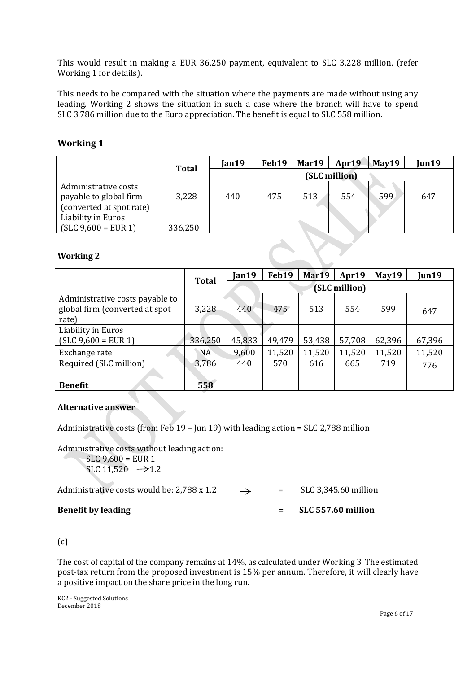This would result in making a EUR 36,250 payment, equivalent to SLC 3,228 million. (refer Working 1 for details).

This needs to be compared with the situation where the payments are made without using any leading. Working 2 shows the situation in such a case where the branch will have to spend SLC 3,786 million due to the Euro appreciation. The benefit is equal to SLC 558 million.

# **Working 1**

|                                                                            | <b>Total</b> | Jan19 | Feb19 | Mar19 | Apr19         | May19 | Jun19 |
|----------------------------------------------------------------------------|--------------|-------|-------|-------|---------------|-------|-------|
|                                                                            |              |       |       |       | (SLC million) |       |       |
| Administrative costs<br>payable to global firm<br>(converted at spot rate) | 3,228        | 440   | 475   | 513   | 554           | 599   | 647   |
| Liability in Euros<br>$(SLC 9,600 = EUR 1)$                                | 336,250      |       |       |       |               |       |       |

#### **Working 2**

|                                                                            | <b>Total</b> | Jan19  | Feb19  | Mar19  | Apr19         | May19  | Jun19  |
|----------------------------------------------------------------------------|--------------|--------|--------|--------|---------------|--------|--------|
|                                                                            |              |        |        |        | (SLC million) |        |        |
| Administrative costs payable to<br>global firm (converted at spot<br>rate) | 3,228        | 440    | 475    | 513    | 554           | 599    | 647    |
| Liability in Euros<br>$(SLC 9,600 = EUR 1)$                                | 336,250      | 45,833 | 49,479 | 53,438 | 57,708        | 62,396 | 67,396 |
| Exchange rate                                                              | <b>NA</b>    | 9,600  | 11,520 | 11,520 | 11,520        | 11,520 | 11,520 |
| Required (SLC million)                                                     | 3,786        | 440    | 570    | 616    | 665           | 719    | 776    |
| <b>Benefit</b>                                                             | 558          |        |        |        |               |        |        |

#### **Alternative answer**

Administrative costs (from Feb 19 – Jun 19) with leading action = SLC 2,788 million

Administrative costs without leading action:  $SLC$  9,600 = EUR 1 SLC  $11.520 \rightarrow 1.2$ Administrative costs would be: 2,788 x 1.2  $\rightarrow$  = SLC 3,345.60 million **Benefit by leading = SLC 557.60 million**

# (c)

The cost of capital of the company remains at 14%, as calculated under Working 3. The estimated post-tax return from the proposed investment is 15% per annum. Therefore, it will clearly have a positive impact on the share price in the long run.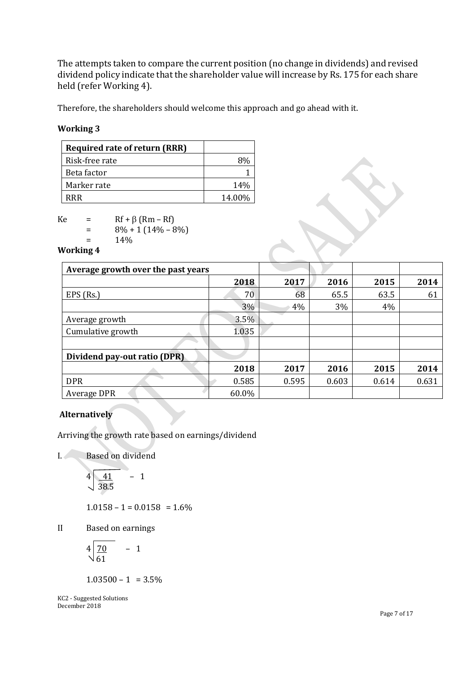The attempts taken to compare the current position (no change in dividends) and revised dividend policy indicate that the shareholder value will increase by Rs. 175 for each share held (refer Working 4).

Therefore, the shareholders should welcome this approach and go ahead with it.

# **Working 3**

| <b>Required rate of return (RRR)</b> |        |
|--------------------------------------|--------|
| Risk-free rate                       |        |
| Beta factor                          |        |
| Marker rate                          | 14%    |
| RRR                                  | 14.00% |

 $Ke = Rf + \beta (Rm - Rf)$ 

 $= 8\% + 1(14\% - 8\%)$ 

 $= 14\%$ 

**Working 4**

| Average growth over the past years |       |       |       |       |       |
|------------------------------------|-------|-------|-------|-------|-------|
|                                    | 2018  | 2017  | 2016  | 2015  | 2014  |
| $EPS$ (Rs.)                        | 70    | 68    | 65.5  | 63.5  | 61    |
|                                    | 3%    | 4%    | 3%    | 4%    |       |
| Average growth                     | 3.5%  |       |       |       |       |
| Cumulative growth                  | 1.035 |       |       |       |       |
|                                    |       |       |       |       |       |
| Dividend pay-out ratio (DPR)       |       |       |       |       |       |
|                                    | 2018  | 2017  | 2016  | 2015  | 2014  |
| <b>DPR</b>                         | 0.585 | 0.595 | 0.603 | 0.614 | 0.631 |
| Average DPR                        | 60.0% |       |       |       |       |

# **Alternatively**

Arriving the growth rate based on earnings/dividend

I. Based on dividend

$$
4\sqrt{\frac{41}{38.5}} - 1
$$

 $1.0158 - 1 = 0.0158 = 1.6\%$ 

II Based on earnings

$$
4\sqrt{\frac{70}{61}} \quad - \quad 1
$$

 $1.03500 - 1 = 3.5\%$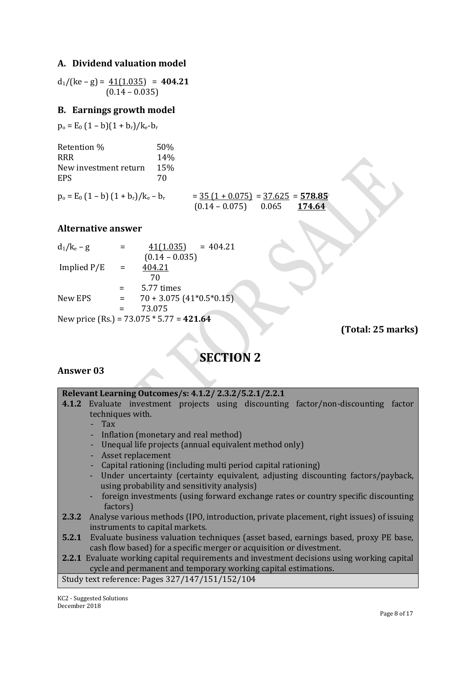# **A. Dividend valuation model**

 $d_1/(ke-g) = 41(1.035) = 404.21$  $(0.14 - 0.035)$ 

# **B. Earnings growth model**

 $p_o = E_0 (1 - b)(1 + b_r)/k_e - b_r$ 

| Retention %           | 50%             |
|-----------------------|-----------------|
| <b>RRR</b>            | 14 <sub>%</sub> |
| New investment return | 15%             |
| <b>EPS</b>            | 70              |
|                       |                 |

 $p_o = E_0 (1 - b) (1 + b_r)/k_e - b_r$  =  $\frac{35 (1 + 0.075)}{0.14 - 0.075}$  =  $\frac{37.625}{0.065}$  = **578.85** (0.14 – 0.075) 0.065 **174.64** 

# **Alternative answer**

| $d_1/k_e - g$ |     | 41(1.035)<br>$= 404.21$                    |
|---------------|-----|--------------------------------------------|
|               |     | $(0.14 - 0.035)$                           |
| Implied $P/E$ | $=$ | 404.21                                     |
|               |     | 70                                         |
|               |     | 5.77 times                                 |
| New EPS       | $=$ | $70 + 3.075$ (41*0.5*0.15)                 |
|               |     | 73.075                                     |
|               |     | New price (Rs.) = $73.075 * 5.77 = 421.64$ |

**(Total: 25 marks)**

# **SECTION 2**

# **Answer 03**

| Relevant Learning Outcomes/s: 4.1.2/2.3.2/5.2.1/2.2.1                                            |
|--------------------------------------------------------------------------------------------------|
| 4.1.2 Evaluate investment projects using discounting factor/non-discounting factor               |
| techniques with.                                                                                 |
| $-Tax$                                                                                           |
| - Inflation (monetary and real method)                                                           |
| - Unequal life projects (annual equivalent method only)                                          |
| - Asset replacement                                                                              |
| - Capital rationing (including multi period capital rationing)                                   |
| - Under uncertainty (certainty equivalent, adjusting discounting factors/payback,                |
| using probability and sensitivity analysis)                                                      |
| - foreign investments (using forward exchange rates or country specific discounting              |
| factors)                                                                                         |
| 2.3.2 Analyse various methods (IPO, introduction, private placement, right issues) of issuing    |
| instruments to capital markets.                                                                  |
| <b>5.2.1</b> Evaluate business valuation techniques (asset based, earnings based, proxy PE base, |
| cash flow based) for a specific merger or acquisition or divestment.                             |
| 2.2.1 Evaluate working capital requirements and investment decisions using working capital       |
| cycle and permanent and temporary working capital estimations.                                   |
| Study text reference: Pages 327/147/151/152/104                                                  |
|                                                                                                  |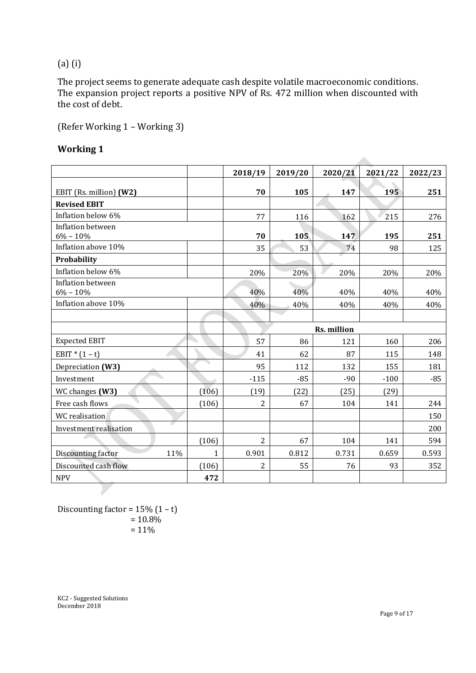# (a) (i)

The project seems to generate adequate cash despite volatile macroeconomic conditions. The expansion project reports a positive NPV of Rs. 472 million when discounted with the cost of debt.

(Refer Working 1 – Working 3)

# **Working 1**

|                             |              | 2018/19        | 2019/20          | 2020/21     | 2021/22 | 2022/23 |
|-----------------------------|--------------|----------------|------------------|-------------|---------|---------|
| EBIT (Rs. million) (W2)     |              | 70             | 105              | 147         | 195     | 251     |
| <b>Revised EBIT</b>         |              |                |                  |             |         |         |
| Inflation below 6%          |              | 77             | 116              | 162         | 215     | 276     |
| Inflation between           |              |                |                  |             |         |         |
| $6\% - 10\%$                |              | 70             | $10\overline{5}$ | 147         | 195     | 251     |
| Inflation above 10%         |              | 35             | 53               | 74          | 98      | 125     |
| Probability                 |              |                |                  |             |         |         |
| Inflation below 6%          |              | 20%            | 20%              | 20%         | 20%     | 20%     |
| Inflation between           |              |                |                  |             |         |         |
| $6\% - 10\%$                |              | 40%            | 40%              | 40%         | 40%     | 40%     |
| Inflation above 10%         |              | 40%            | 40%              | 40%         | 40%     | 40%     |
|                             |              |                |                  |             |         |         |
|                             |              |                |                  | Rs. million |         |         |
| <b>Expected EBIT</b>        |              | 57             | 86               | 121         | 160     | 206     |
| EBIT * $(1 - t)$            |              | 41             | 62               | 87          | 115     | 148     |
| Depreciation (W3)           |              | 95             | 112              | 132         | 155     | 181     |
| Investment                  |              | $-115$         | $-85$            | $-90$       | $-100$  | $-85$   |
| WC changes (W3)             | (106)        | (19)           | (22)             | (25)        | (29)    |         |
| Free cash flows             | (106)        | $\overline{2}$ | 67               | 104         | 141     | 244     |
| WC realisation              |              |                |                  |             |         | 150     |
| o<br>Investment realisation |              |                |                  |             |         | 200     |
|                             | (106)        | 2              | 67               | 104         | 141     | 594     |
| 11%<br>Discounting factor   | $\mathbf{1}$ | 0.901          | 0.812            | 0.731       | 0.659   | 0.593   |
| Discounted cash flow        | (106)        | 2              | 55               | 76          | 93      | 352     |
| <b>NPV</b>                  | 472          |                |                  |             |         |         |

Discounting factor =  $15\%$   $(1 - t)$  $= 10.8\%$  $= 11\%$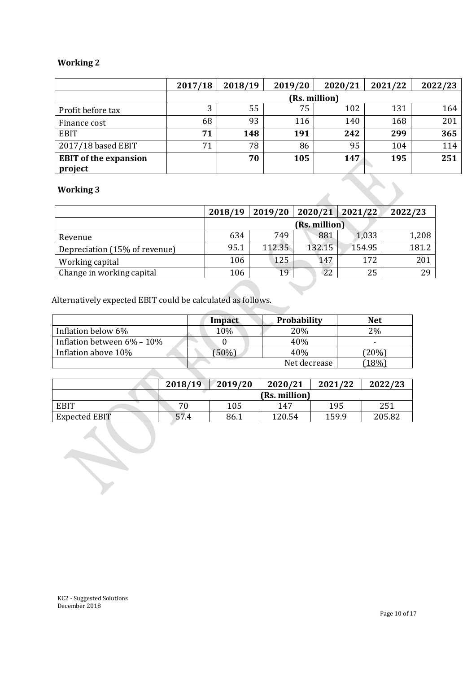# **Working 2**

|                              | 2017/18 | 2018/19       | 2019/20 | 2020/21 | 2021/22 | 2022/23 |
|------------------------------|---------|---------------|---------|---------|---------|---------|
|                              |         | (Rs. million) |         |         |         |         |
| Profit before tax            | 3       | 55            | 75      | 102     | 131     | 164     |
| Finance cost                 | 68      | 93            | 116     | 140     | 168     | 201     |
| <b>EBIT</b>                  | 71      | 148           | 191     | 242     | 299     | 365     |
| 2017/18 based EBIT           | 71      | 78            | 86      | 95      | 104     | 114     |
| <b>EBIT</b> of the expansion |         | 70            | 105     | 147     | 195     | 251     |
| project                      |         |               |         |         |         |         |
| <b>Working 3</b>             |         |               |         |         |         |         |

# **Working 3**

|                               | 2018/19 | 2019/20 | 2020/21       | 2021/22 | 2022/23 |
|-------------------------------|---------|---------|---------------|---------|---------|
|                               |         |         | (Rs. million) |         |         |
| Revenue                       | 634     | 749     | 881           | 1,033   | 1,208   |
| Depreciation (15% of revenue) | 95.1    | 112.35  | 132.15        | 154.95  | 181.2   |
| Working capital               | 106     | 125     | 147           | 172     | 201     |
| Change in working capital     | 106     | 19      | 22            | 25      | 29      |

 $\mathcal{L}$ 

Alternatively expected EBIT could be calculated as follows.

|                            | Impact | <b>Probability</b> | <b>Net</b> |
|----------------------------|--------|--------------------|------------|
| Inflation below 6%         | 10%    | 20%                | $2\%$      |
| Inflation between 6% - 10% |        | 40%                |            |
| Inflation above 10%        | 50%)   | 40%                | 20%        |
|                            |        | Net decrease       | 18%        |

|                      | 2018/19 | 2019/20 | 2020/21       | 2021/22 | 2022/23 |
|----------------------|---------|---------|---------------|---------|---------|
|                      |         |         | (Rs. million) |         |         |
| <b>EBIT</b>          | 70      | 105     | 147           | 195     | 251     |
| <b>Expected EBIT</b> | 57.4    | 86.1    | 120.54        | 159.9   | 205.82  |

 $\lambda$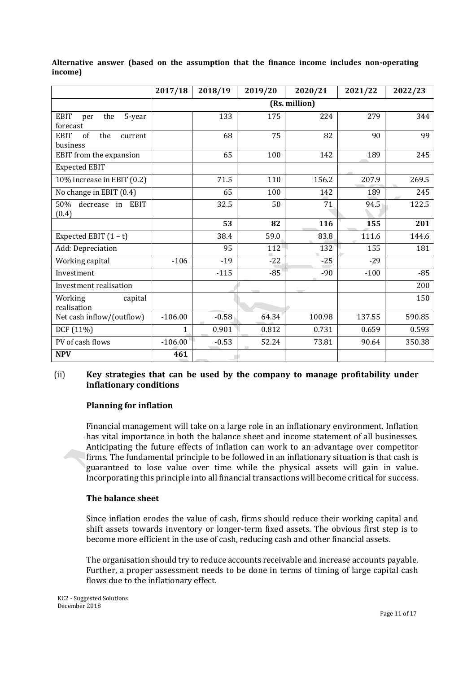|                                                 | 2017/18       | 2018/19 | 2019/20 | 2020/21 | 2021/22 | 2022/23 |
|-------------------------------------------------|---------------|---------|---------|---------|---------|---------|
|                                                 | (Rs. million) |         |         |         |         |         |
| EBIT<br>the<br>5-year<br>per<br>forecast        |               | 133     | 175     | 224     | 279     | 344     |
| of<br><b>EBIT</b><br>the<br>current<br>business |               | 68      | 75      | 82      | 90      | 99      |
| EBIT from the expansion                         |               | 65      | 100     | 142     | 189     | 245     |
| <b>Expected EBIT</b>                            |               |         |         |         |         |         |
| 10% increase in EBIT (0.2)                      |               | 71.5    | 110     | 156.2   | 207.9   | 269.5   |
| No change in EBIT (0.4)                         |               | 65      | 100     | 142     | 189     | 245     |
| 50%<br>decrease<br>in EBIT<br>(0.4)             |               | 32.5    | 50      | 71      | 94.5    | 122.5   |
|                                                 |               | 53      | 82      | 116     | 155     | 201     |
| Expected EBIT $(1 - t)$                         |               | 38.4    | 59.0    | 83.8    | 111.6   | 144.6   |
| Add: Depreciation                               |               | 95      | 112     | 132     | 155     | 181     |
| Working capital                                 | $-106$        | $-19$   | $-22$   | $-25$   | $-29$   |         |
| Investment                                      |               | $-115$  | $-85$   | $-90$   | $-100$  | $-85$   |
| Investment realisation                          |               |         |         |         |         | 200     |
| Working<br>capital<br>realisation               |               |         |         |         |         | 150     |
| Net cash inflow/(outflow)                       | $-106.00$     | $-0.58$ | 64.34   | 100.98  | 137.55  | 590.85  |
| DCF (11%)                                       | $\mathbf{1}$  | 0.901   | 0.812   | 0.731   | 0.659   | 0.593   |
| PV of cash flows                                | $-106.00$     | $-0.53$ | 52.24   | 73.81   | 90.64   | 350.38  |
| <b>NPV</b>                                      | 461           |         |         |         |         |         |

**Alternative answer (based on the assumption that the finance income includes non-operating income)**

# (ii) **Key strategies that can be used by the company to manage profitability under inflationary conditions**

# **Planning for inflation**

Financial management will take on a large role in an inflationary environment. Inflation has vital importance in both the balance sheet and income statement of all businesses. Anticipating the future effects of inflation can work to an advantage over competitor firms. The fundamental principle to be followed in an inflationary situation is that cash is guaranteed to lose value over time while the physical assets will gain in value. Incorporating this principle into all financial transactions will become critical for success.

#### **The balance sheet**

Since inflation erodes the value of cash, firms should reduce their working capital and shift assets towards inventory or longer-term fixed assets. The obvious first step is to become more efficient in the use of cash, reducing cash and other financial assets.

The organisation should try to reduce accounts receivable and increase accounts payable. Further, a proper assessment needs to be done in terms of timing of large capital cash flows due to the inflationary effect.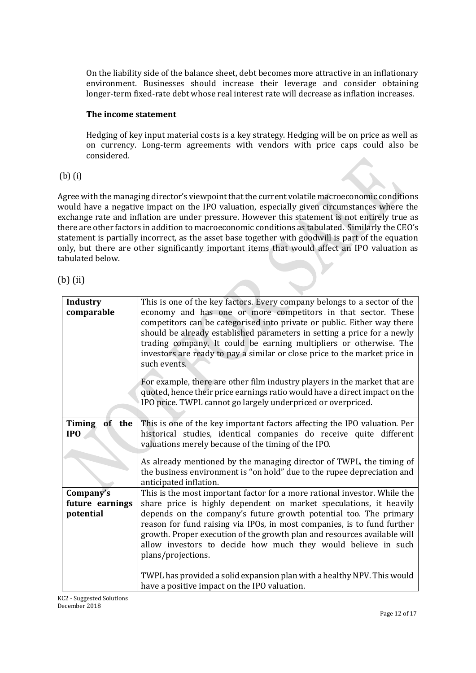On the liability side of the balance sheet, debt becomes more attractive in an inflationary environment. Businesses should increase their leverage and consider obtaining longer-term fixed-rate debt whose real interest rate will decrease as inflation increases.

# **The income statement**

Hedging of key input material costs is a key strategy. Hedging will be on price as well as on currency. Long-term agreements with vendors with price caps could also be considered.

# (b) (i)

Agree with the managing director's viewpoint that the current volatile macroeconomic conditions would have a negative impact on the IPO valuation, especially given circumstances where the exchange rate and inflation are under pressure. However this statement is not entirely true as there are other factors in addition to macroeconomic conditions as tabulated. Similarly the CEO's statement is partially incorrect, as the asset base together with goodwill is part of the equation only, but there are other significantly important items that would affect an IPO valuation as tabulated below.

| <b>Industry</b><br>comparable             | This is one of the key factors. Every company belongs to a sector of the<br>economy and has one or more competitors in that sector. These<br>competitors can be categorised into private or public. Either way there<br>should be already established parameters in setting a price for a newly<br>trading company. It could be earning multipliers or otherwise. The<br>investors are ready to pay a similar or close price to the market price in<br>such events. |
|-------------------------------------------|---------------------------------------------------------------------------------------------------------------------------------------------------------------------------------------------------------------------------------------------------------------------------------------------------------------------------------------------------------------------------------------------------------------------------------------------------------------------|
|                                           | For example, there are other film industry players in the market that are<br>quoted, hence their price earnings ratio would have a direct impact on the<br>IPO price. TWPL cannot go largely underpriced or overpriced.                                                                                                                                                                                                                                             |
| Timing<br>of<br>the<br>IP <sub>O</sub>    | This is one of the key important factors affecting the IPO valuation. Per<br>historical studies, identical companies do receive quite different<br>valuations merely because of the timing of the IPO.<br>As already mentioned by the managing director of TWPL, the timing of                                                                                                                                                                                      |
|                                           | the business environment is "on hold" due to the rupee depreciation and<br>anticipated inflation.                                                                                                                                                                                                                                                                                                                                                                   |
| Company's<br>future earnings<br>potential | This is the most important factor for a more rational investor. While the<br>share price is highly dependent on market speculations, it heavily<br>depends on the company's future growth potential too. The primary<br>reason for fund raising via IPOs, in most companies, is to fund further<br>growth. Proper execution of the growth plan and resources available will<br>allow investors to decide how much they would believe in such<br>plans/projections.  |
|                                           | TWPL has provided a solid expansion plan with a healthy NPV. This would<br>have a positive impact on the IPO valuation.                                                                                                                                                                                                                                                                                                                                             |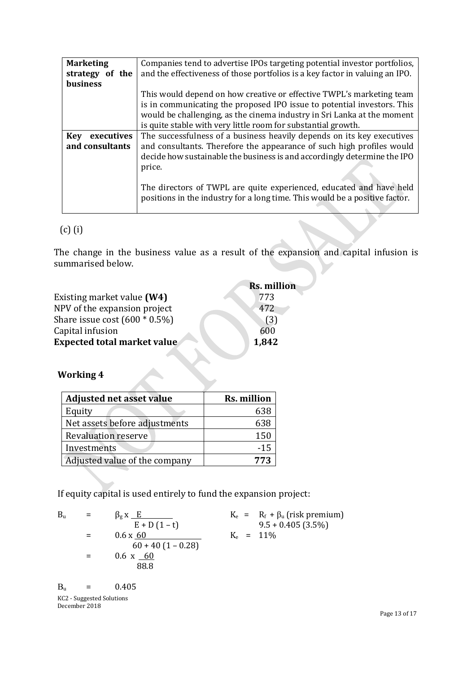| <b>Marketing</b>                   | Companies tend to advertise IPOs targeting potential investor portfolios,                                                                          |
|------------------------------------|----------------------------------------------------------------------------------------------------------------------------------------------------|
| strategy of the<br><b>business</b> | and the effectiveness of those portfolios is a key factor in valuing an IPO.                                                                       |
|                                    |                                                                                                                                                    |
|                                    | This would depend on how creative or effective TWPL's marketing team                                                                               |
|                                    | is in communicating the proposed IPO issue to potential investors. This                                                                            |
|                                    | would be challenging, as the cinema industry in Sri Lanka at the moment                                                                            |
|                                    | is quite stable with very little room for substantial growth.                                                                                      |
| executives<br>Key                  | The successfulness of a business heavily depends on its key executives                                                                             |
| and consultants                    | and consultants. Therefore the appearance of such high profiles would                                                                              |
|                                    | decide how sustainable the business is and accordingly determine the IPO                                                                           |
|                                    | price.                                                                                                                                             |
|                                    |                                                                                                                                                    |
|                                    | The directors of TWPL are quite experienced, educated and have held<br>positions in the industry for a long time. This would be a positive factor. |
|                                    |                                                                                                                                                    |

# (c) (i)

The change in the business value as a result of the expansion and capital infusion is summarised below.

|                                    | Rs. million |
|------------------------------------|-------------|
| Existing market value (W4)         | 773         |
| NPV of the expansion project       | 472         |
| Share issue cost $(600 * 0.5%)$    | (3)         |
| Capital infusion                   | 600         |
| <b>Expected total market value</b> | 1,842       |

# **Working 4**

| <b>Adjusted net asset value</b> | <b>Rs. million</b> |
|---------------------------------|--------------------|
| Equity                          | 638                |
| Net assets before adjustments   | 638                |
| <b>Revaluation reserve</b>      | 150                |
| Investments                     | $-15$              |
| Adjusted value of the company   | 773                |

If equity capital is used entirely to fund the expansion project:

| $B_{\rm u}$ | $=$ | $\beta_{\rm g}$ X $\_E$ |             | $K_e$ = $R_f + \beta_u$ (risk premium) |
|-------------|-----|-------------------------|-------------|----------------------------------------|
|             |     | $E + D(1-t)$            |             | $9.5 + 0.405(3.5\%)$                   |
|             |     | $0.6 \times 60$         | $K_e$ = 11% |                                        |
|             |     | $60 + 40(1 - 0.28)$     |             |                                        |
|             |     | $0.6 \times 60$         |             |                                        |
|             |     | 88.8                    |             |                                        |
|             |     |                         |             |                                        |

KC2 - Suggested Solutions December 2018  $B_u = 0.405$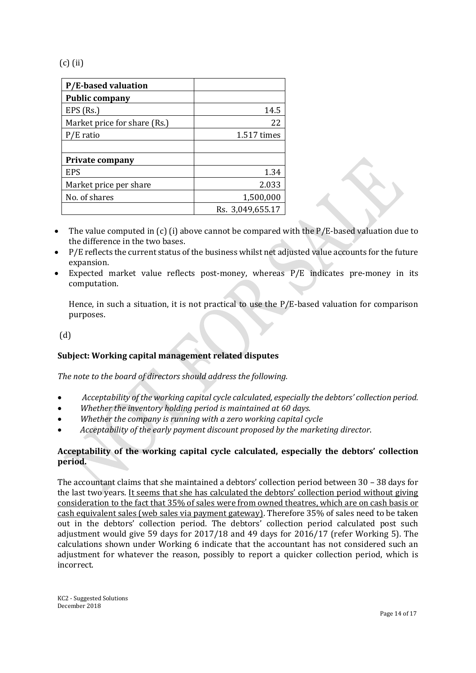(c) (ii)

| <b>P/E-based valuation</b>   |                  |
|------------------------------|------------------|
| <b>Public company</b>        |                  |
| EPS (Rs.)                    | 14.5             |
| Market price for share (Rs.) | 22               |
| P/E ratio                    | 1.517 times      |
|                              |                  |
| <b>Private company</b>       |                  |
| <b>EPS</b>                   | 1.34             |
| Market price per share       | 2.033            |
| No. of shares                | 1,500,000        |
|                              | Rs. 3,049,655.17 |

- The value computed in (c) (i) above cannot be compared with the P/E-based valuation due to the difference in the two bases.
- P/E reflects the current status of the business whilst net adjusted value accounts for the future expansion.
- Expected market value reflects post-money, whereas P/E indicates pre-money in its computation.

Hence, in such a situation, it is not practical to use the P/E-based valuation for comparison purposes.

(d)

# **Subject: Working capital management related disputes**

*The note to the board of directors should address the following.*

- *Acceptability of the working capital cycle calculated, especially the debtors' collection period.*
- *Whether the inventory holding period is maintained at 60 days.*
- *Whether the company is running with a zero working capital cycle*
- *Acceptability of the early payment discount proposed by the marketing director*.

# **Acceptability of the working capital cycle calculated, especially the debtors' collection period.**

The accountant claims that she maintained a debtors' collection period between 30 – 38 days for the last two years. It seems that she has calculated the debtors' collection period without giving consideration to the fact that 35% of sales were from owned theatres, which are on cash basis or cash equivalent sales (web sales via payment gateway). Therefore 35% of sales need to be taken out in the debtors' collection period. The debtors' collection period calculated post such adjustment would give 59 days for 2017/18 and 49 days for 2016/17 (refer Working 5). The calculations shown under Working 6 indicate that the accountant has not considered such an adjustment for whatever the reason, possibly to report a quicker collection period, which is incorrect.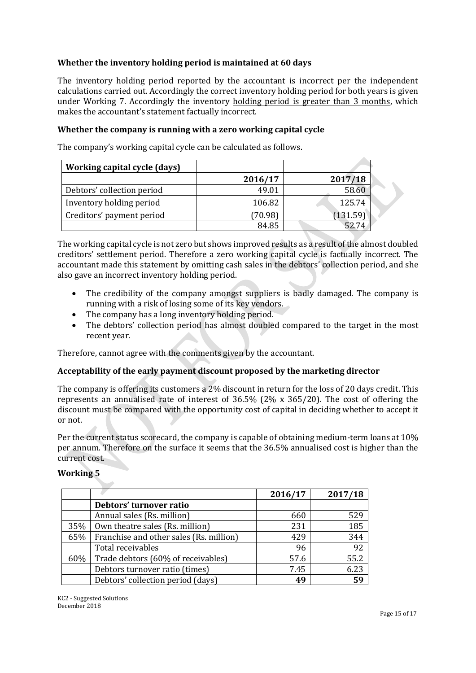# **Whether the inventory holding period is maintained at 60 days**

The inventory holding period reported by the accountant is incorrect per the independent calculations carried out. Accordingly the correct inventory holding period for both years is given under Working 7. Accordingly the inventory holding period is greater than 3 months, which makes the accountant's statement factually incorrect.

# **Whether the company is running with a zero working capital cycle**

The company's working capital cycle can be calculated as follows.

| Working capital cycle (days) |         |          |
|------------------------------|---------|----------|
|                              | 2016/17 | 2017/18  |
| Debtors' collection period   | 49.01   | 58.60    |
| Inventory holding period     | 106.82  | 125.74   |
| Creditors' payment period    | (70.98) | (131.59) |
|                              | 84.85   | 52 74    |

The working capital cycle is not zero but shows improved results as a result of the almost doubled creditors' settlement period. Therefore a zero working capital cycle is factually incorrect. The accountant made this statement by omitting cash sales in the debtors' collection period, and she also gave an incorrect inventory holding period.

- The credibility of the company amongst suppliers is badly damaged. The company is running with a risk of losing some of its key vendors.
- The company has a long inventory holding period.
- The debtors' collection period has almost doubled compared to the target in the most recent year.

Therefore, cannot agree with the comments given by the accountant.

# **Acceptability of the early payment discount proposed by the marketing director**

The company is offering its customers a 2% discount in return for the loss of 20 days credit. This represents an annualised rate of interest of 36.5% (2% x 365/20). The cost of offering the discount must be compared with the opportunity cost of capital in deciding whether to accept it or not.

Per the current status scorecard, the company is capable of obtaining medium-term loans at 10% per annum. Therefore on the surface it seems that the 36.5% annualised cost is higher than the current cost.

# **Working 5**

|     |                                         | 2016/17 | 2017/18 |
|-----|-----------------------------------------|---------|---------|
|     | Debtors' turnover ratio                 |         |         |
|     | Annual sales (Rs. million)              | 660     | 529     |
| 35% | Own theatre sales (Rs. million)         | 231     | 185     |
| 65% | Franchise and other sales (Rs. million) | 429     | 344     |
|     | Total receivables                       | 96      | 92      |
| 60% | Trade debtors (60% of receivables)      | 57.6    | 55.2    |
|     | Debtors turnover ratio (times)          | 7.45    | 6.23    |
|     | Debtors' collection period (days)       | 49      | 59      |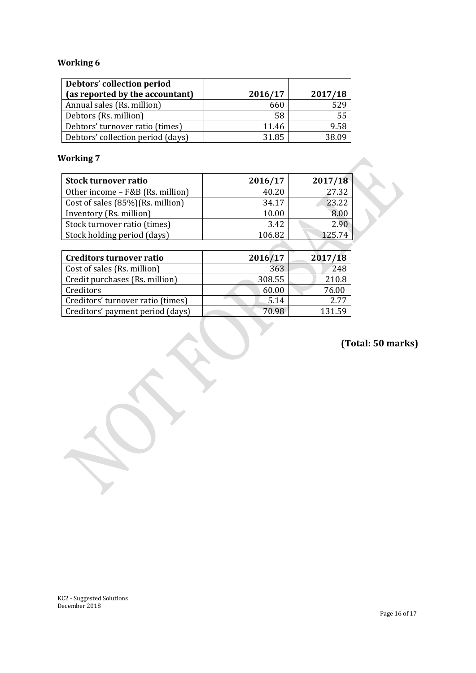# **Working 6**

| Debtors' collection period<br>(as reported by the accountant) | 2016/17 | 2017/18 |
|---------------------------------------------------------------|---------|---------|
| Annual sales (Rs. million)                                    | 660     | 529     |
| Debtors (Rs. million)                                         | 58      | 55      |
| Debtors' turnover ratio (times)                               | 11.46   | 9.58    |
| Debtors' collection period (days)                             | 31.85   | 38 U O  |

# **Working 7**

| <b>Stock turnover ratio</b>      | 2016/17 | 2017/18 |
|----------------------------------|---------|---------|
| Other income - F&B (Rs. million) | 40.20   | 27.32   |
| Cost of sales (85%)(Rs. million) | 34.17   | 23.22   |
| Inventory (Rs. million)          | 10.00   | 8.00    |
| Stock turnover ratio (times)     | 3.42    | 2.90    |
| Stock holding period (days)      | 106.82  | 125.74  |
|                                  |         |         |

| <b>Creditors turnover ratio</b>   | 2016/17 | 2017/18 |
|-----------------------------------|---------|---------|
| Cost of sales (Rs. million)       | 363     | 248     |
| Credit purchases (Rs. million)    | 308.55  | 210.8   |
| Creditors                         | 60.00   | 76.00   |
| Creditors' turnover ratio (times) | 5.14    | 2.77    |
| Creditors' payment period (days)  | 70.98   | 131.59  |

**(Total: 50 marks)**